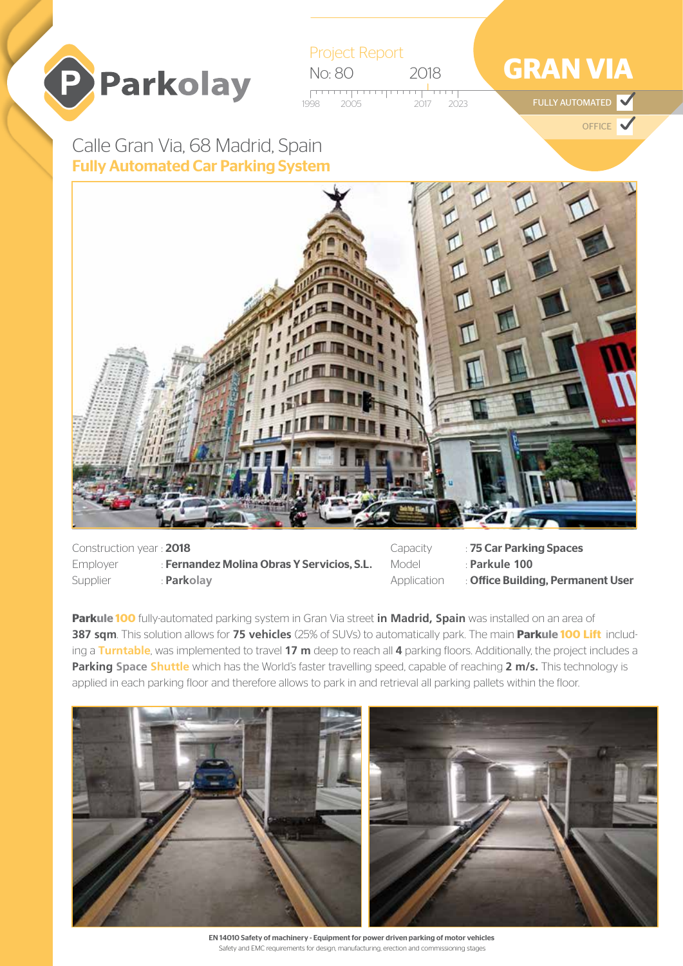



# **GRAN VIA**

de and the state of the state of the state of the state of the state of the state of the state of the state of<br>The state of the state of the state of the state of the state of the state of the state of the state of the st

**OFFICE** 

Fully Automated Car Parking System Calle Gran Via, 68 Madrid, Spain



| Construction year: 2018 |                                            |
|-------------------------|--------------------------------------------|
| <b>Emplover</b>         | : Fernandez Molina Obras Y Servicios, S.L. |
| Supplier                | : Parkolay                                 |

Capacity : 75 Car Parking Spaces Model : **Parkule 100**

Application : Office Building, Permanent User

**Parkule 100** fully-automated parking system in Gran Via street **in Madrid, Spain** was installed on an area of **387 sqm**. This solution allows for **75 vehicles** (25% of SUVs) to automatically park. The main **Parkule 100 Lift** including a **Turntable**, was implemented to travel **17 m** deep to reach all **4** parking floors. Additionally, the project includes a **Parking Space Shuttle** which has the World's faster travelling speed, capable of reaching **2 m/s.** This technology is applied in each parking floor and therefore allows to park in and retrieval all parking pallets within the floor.



EN 14010 Safety of machinery - Equipment for power driven parking of motor vehicles Safety and EMC requirements for design, manufacturing, erection and commissioning stages